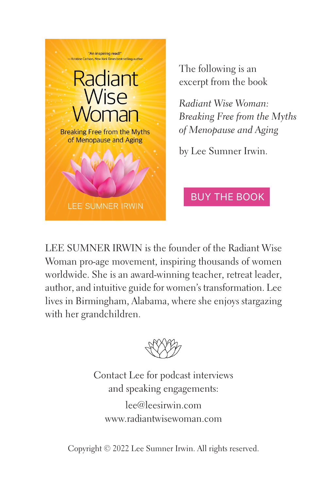

The following is an excerpt from the book

*Radiant Wise Woman: [Breaking Free from the Myths](https://www.amazon.com/Radiant-Wise-Woman-Breaking-Menopause/dp/B09TW7TB95/ref=sr_1_1?crid=352TD57USKCLZ&keywords=radiant+wise+woman&qid=1653773040&s=books&sprefix=radiant+wise+woman%2Cstripbooks%2C316&sr=1-1)  of Menopause and Aging*

by Lee Sumner Irwin.

# BUY THE BOOK

LEE SUMNER IRWIN is the founder of the Radiant Wise Woman pro-age movement, inspiring thousands of women worldwide. She is an award-winning teacher, retreat leader, author, and intuitive guide for women's transformation. Lee lives in Birmingham, Alabama, where she enjoys stargazing with her grandchildren.



Contact Lee for podcast interviews and speaking engagements: lee@leesirwin.com www.radiantwisewoman.com

Copyright © 2022 Lee Sumner Irwin. All rights reserved.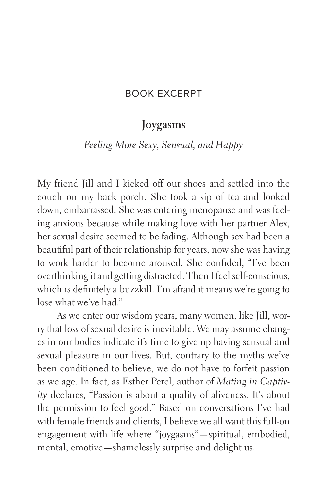#### BOOK EXCERPT

## **Joygasms**

#### *Feeling More Sexy, Sensual, and Happy*

My friend Jill and I kicked off our shoes and settled into the couch on my back porch. She took a sip of tea and looked down, embarrassed. She was entering menopause and was feeling anxious because while making love with her partner Alex, her sexual desire seemed to be fading. Although sex had been a beautiful part of their relationship for years, now she was having to work harder to become aroused. She confided, "I've been overthinking it and getting distracted. Then I feel self-conscious, which is definitely a buzzkill. I'm afraid it means we're going to lose what we've had."

As we enter our wisdom years, many women, like Jill, worry that loss of sexual desire is inevitable. We may assume changes in our bodies indicate it's time to give up having sensual and sexual pleasure in our lives. But, contrary to the myths we've been conditioned to believe, we do not have to forfeit passion as we age. In fact, as Esther Perel, author of *Mating in Captivity* declares, "Passion is about a quality of aliveness. It's about the permission to feel good." Based on conversations I've had with female friends and clients, I believe we all want this full-on engagement with life where "joygasms"—spiritual, embodied, mental, emotive—shamelessly surprise and delight us.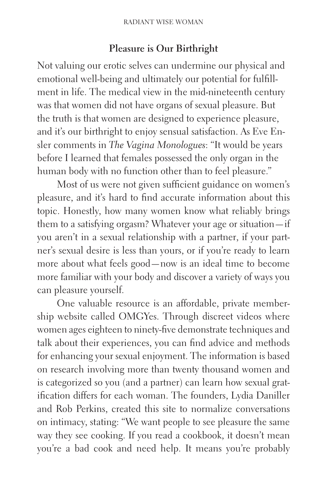### **Pleasure is Our Birthright**

Not valuing our erotic selves can undermine our physical and emotional well-being and ultimately our potential for fulfillment in life. The medical view in the mid-nineteenth century was that women did not have organs of sexual pleasure. But the truth is that women are designed to experience pleasure, and it's our birthright to enjoy sensual satisfaction. As Eve Ensler comments in *The Vagina Monologues*: "It would be years before I learned that females possessed the only organ in the human body with no function other than to feel pleasure."

Most of us were not given sufficient guidance on women's pleasure, and it's hard to find accurate information about this topic. Honestly, how many women know what reliably brings them to a satisfying orgasm? Whatever your age or situation—if you aren't in a sexual relationship with a partner, if your partner's sexual desire is less than yours, or if you're ready to learn more about what feels good—now is an ideal time to become more familiar with your body and discover a variety of ways you can pleasure yourself.

One valuable resource is an affordable, private membership website called OMGYes. Through discreet videos where women ages eighteen to ninety-five demonstrate techniques and talk about their experiences, you can find advice and methods for enhancing your sexual enjoyment. The information is based on research involving more than twenty thousand women and is categorized so you (and a partner) can learn how sexual gratification differs for each woman. The founders, Lydia Daniller and Rob Perkins, created this site to normalize conversations on intimacy, stating: "We want people to see pleasure the same way they see cooking. If you read a cookbook, it doesn't mean you're a bad cook and need help. It means you're probably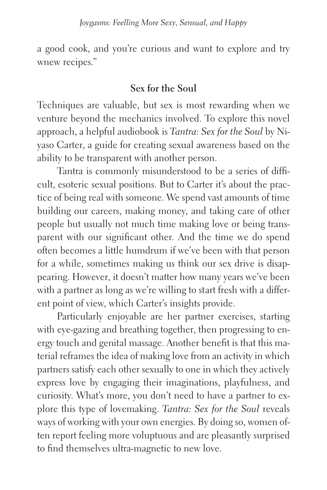a good cook, and you're curious and want to explore and try wnew recipes."

### **Sex for the Soul**

Techniques are valuable, but sex is most rewarding when we venture beyond the mechanics involved. To explore this novel approach, a helpful audiobook is *Tantra: Sex for the Soul* by Niyaso Carter, a guide for creating sexual awareness based on the ability to be transparent with another person.

Tantra is commonly misunderstood to be a series of difficult, esoteric sexual positions. But to Carter it's about the practice of being real with someone. We spend vast amounts of time building our careers, making money, and taking care of other people but usually not much time making love or being transparent with our significant other. And the time we do spend often becomes a little humdrum if we've been with that person for a while, sometimes making us think our sex drive is disappearing. However, it doesn't matter how many years we've been with a partner as long as we're willing to start fresh with a different point of view, which Carter's insights provide.

Particularly enjoyable are her partner exercises, starting with eye-gazing and breathing together, then progressing to energy touch and genital massage. Another benefit is that this material reframes the idea of making love from an activity in which partners satisfy each other sexually to one in which they actively express love by engaging their imaginations, playfulness, and curiosity. What's more, you don't need to have a partner to explore this type of lovemaking. *Tantra: Sex for the Soul* reveals ways of working with your own energies. By doing so, women often report feeling more voluptuous and are pleasantly surprised to find themselves ultra-magnetic to new love.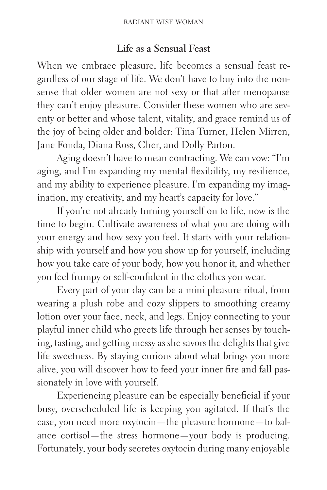#### **Life as a Sensual Feast**

When we embrace pleasure, life becomes a sensual feast regardless of our stage of life. We don't have to buy into the nonsense that older women are not sexy or that after menopause they can't enjoy pleasure. Consider these women who are seventy or better and whose talent, vitality, and grace remind us of the joy of being older and bolder: Tina Turner, Helen Mirren, Jane Fonda, Diana Ross, Cher, and Dolly Parton.

Aging doesn't have to mean contracting. We can vow: "I'm aging, and I'm expanding my mental flexibility, my resilience, and my ability to experience pleasure. I'm expanding my imagination, my creativity, and my heart's capacity for love."

If you're not already turning yourself on to life, now is the time to begin. Cultivate awareness of what you are doing with your energy and how sexy you feel. It starts with your relationship with yourself and how you show up for yourself, including how you take care of your body, how you honor it, and whether you feel frumpy or self-confident in the clothes you wear.

Every part of your day can be a mini pleasure ritual, from wearing a plush robe and cozy slippers to smoothing creamy lotion over your face, neck, and legs. Enjoy connecting to your playful inner child who greets life through her senses by touching, tasting, and getting messy as she savors the delights that give life sweetness. By staying curious about what brings you more alive, you will discover how to feed your inner fire and fall passionately in love with yourself.

Experiencing pleasure can be especially beneficial if your busy, overscheduled life is keeping you agitated. If that's the case, you need more oxytocin—the pleasure hormone—to balance cortisol—the stress hormone—your body is producing. Fortunately, your body secretes oxytocin during many enjoyable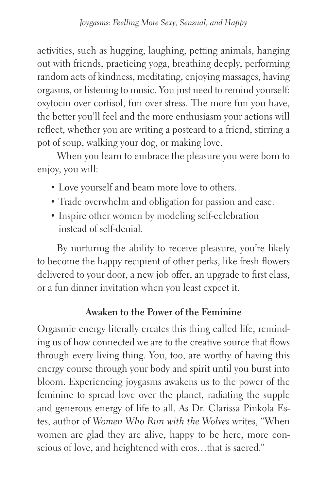activities, such as hugging, laughing, petting animals, hanging out with friends, practicing yoga, breathing deeply, performing random acts of kindness, meditating, enjoying massages, having orgasms, or listening to music. You just need to remind yourself: oxytocin over cortisol, fun over stress. The more fun you have, the better you'll feel and the more enthusiasm your actions will reflect, whether you are writing a postcard to a friend, stirring a pot of soup, walking your dog, or making love.

When you learn to embrace the pleasure you were born to enjoy, you will:

- Love yourself and beam more love to others.
- Trade overwhelm and obligation for passion and ease.
- Inspire other women by modeling self-celebration instead of self-denial.

By nurturing the ability to receive pleasure, you're likely to become the happy recipient of other perks, like fresh flowers delivered to your door, a new job offer, an upgrade to first class, or a fun dinner invitation when you least expect it.

## **Awaken to the Power of the Feminine**

Orgasmic energy literally creates this thing called life, reminding us of how connected we are to the creative source that flows through every living thing. You, too, are worthy of having this energy course through your body and spirit until you burst into bloom. Experiencing joygasms awakens us to the power of the feminine to spread love over the planet, radiating the supple and generous energy of life to all. As Dr. Clarissa Pinkola Estes, author of *Women Who Run with the Wolves* writes, "When women are glad they are alive, happy to be here, more conscious of love, and heightened with eros…that is sacred."